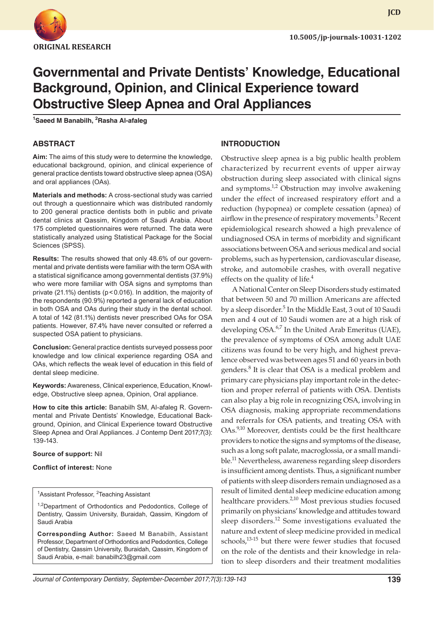

**JCD**

# **Governmental and Private Dentists' Knowledge, Educational Background, Opinion, and Clinical Experience toward Obstructive Sleep Apnea and Oral Appliances**

**1 Saeed M Banabilh, 2 Rasha Al-afaleg**

## **ABSTRACT**

**Aim:** The aims of this study were to determine the knowledge, educational background, opinion, and clinical experience of general practice dentists toward obstructive sleep apnea (OSA) and oral appliances (OAs).

**Materials and methods:** A cross-sectional study was carried out through a questionnaire which was distributed randomly to 200 general practice dentists both in public and private dental clinics at Qassim, Kingdom of Saudi Arabia. About 175 completed questionnaires were returned. The data were statistically analyzed using Statistical Package for the Social Sciences (SPSS).

**Results:** The results showed that only 48.6% of our governmental and private dentists were familiar with the term OSA with a statistical significance among governmental dentists (37.9%) who were more familiar with OSA signs and symptoms than private (21.1%) dentists (p<0.016). In addition, the majority of the respondents (90.9%) reported a general lack of education in both OSA and OAs during their study in the dental school. A total of 142 (81.1%) dentists never prescribed OAs for OSA patients. However, 87.4% have never consulted or referred a suspected OSA patient to physicians.

**Conclusion:** General practice dentists surveyed possess poor knowledge and low clinical experience regarding OSA and OAs, which reflects the weak level of education in this field of dental sleep medicine.

**Keywords:** Awareness, Clinical experience, Education, Knowledge, Obstructive sleep apnea, Opinion, Oral appliance.

**How to cite this article:** Banabilh SM, Al-afaleg R. Governmental and Private Dentists' Knowledge, Educational Background, Opinion, and Clinical Experience toward Obstructive Sleep Apnea and Oral Appliances. J Contemp Dent 2017;7(3): 139-143.

#### **Source of support:** Nil

#### **Conflict of interest:** None

<sup>1</sup>Assistant Professor, <sup>2</sup>Teaching Assistant

<sup>1,2</sup>Department of Orthodontics and Pedodontics, College of Dentistry, Qassim University, Buraidah, Qassim, Kingdom of Saudi Arabia

**Corresponding Author:** Saeed M Banabilh, Assistant Professor, Department of Orthodontics and Pedodontics, College of Dentistry, Qassim University, Buraidah, Qassim, Kingdom of Saudi Arabia, e-mail: banabilh23@gmail.com

## **INTRODUCTION**

Obstructive sleep apnea is a big public health problem characterized by recurrent events of upper airway obstruction during sleep associated with clinical signs and symptoms.<sup>1,2</sup> Obstruction may involve awakening under the effect of increased respiratory effort and a reduction (hypopnea) or complete cessation (apnea) of airflow in the presence of respiratory movements.<sup>3</sup> Recent epidemiological research showed a high prevalence of undiagnosed OSA in terms of morbidity and significant associations between OSA and serious medical and social problems, such as hypertension, cardiovascular disease, stroke, and automobile crashes, with overall negative effects on the quality of life.<sup>4</sup>

A National Center on Sleep Disorders study estimated that between 50 and 70 million Americans are affected by a sleep disorder.<sup>5</sup> In the Middle East, 3 out of 10 Saudi men and 4 out of 10 Saudi women are at a high risk of developing OSA.<sup>6,7</sup> In the United Arab Emeritus (UAE), the prevalence of symptoms of OSA among adult UAE citizens was found to be very high, and highest prevalence observed was between ages 51 and 60 years in both genders.<sup>8</sup> It is clear that OSA is a medical problem and primary care physicians play important role in the detection and proper referral of patients with OSA. Dentists can also play a big role in recognizing OSA, involving in OSA diagnosis, making appropriate recommendations and referrals for OSA patients, and treating OSA with OAs.<sup>9,10</sup> Moreover, dentists could be the first healthcare providers to notice the signs and symptoms of the disease, such as a long soft palate, macroglossia, or a small mandible.<sup>11</sup> Nevertheless, awareness regarding sleep disorders is insufficient among dentists. Thus, a significant number of patients with sleep disorders remain undiagnosed as a result of limited dental sleep medicine education among healthcare providers.<sup>2,10</sup> Most previous studies focused primarily on physicians' knowledge and attitudes toward sleep disorders.<sup>12</sup> Some investigations evaluated the nature and extent of sleep medicine provided in medical schools, $13-15$  but there were fewer studies that focused on the role of the dentists and their knowledge in relation to sleep disorders and their treatment modalities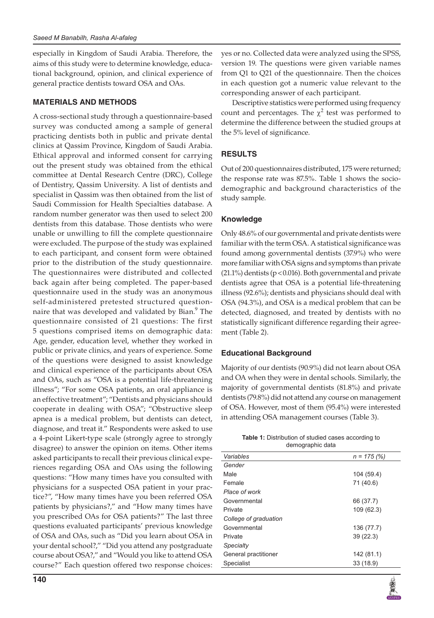especially in Kingdom of Saudi Arabia. Therefore, the aims of this study were to determine knowledge, educational background, opinion, and clinical experience of general practice dentists toward OSA and OAs.

# **materials AND METHODS**

A cross-sectional study through a questionnaire-based survey was conducted among a sample of general practicing dentists both in public and private dental clinics at Qassim Province, Kingdom of Saudi Arabia. Ethical approval and informed consent for carrying out the present study was obtained from the ethical committee at Dental Research Centre (DRC), College of Dentistry, Qassim University. A list of dentists and specialist in Qassim was then obtained from the list of Saudi Commission for Health Specialties database. A random number generator was then used to select 200 dentists from this database. Those dentists who were unable or unwilling to fill the complete questionnaire were excluded. The purpose of the study was explained to each participant, and consent form were obtained prior to the distribution of the study questionnaire. The questionnaires were distributed and collected back again after being completed. The paper-based questionnaire used in the study was an anonymous self-administered pretested structured questionnaire that was developed and validated by Bian.<sup>9</sup> The questionnaire consisted of 21 questions: The first 5 questions comprised items on demographic data: Age, gender, education level, whether they worked in public or private clinics, and years of experience. Some of the questions were designed to assist knowledge and clinical experience of the participants about OSA and OAs, such as "OSA is a potential life-threatening illness"; "For some OSA patients, an oral appliance is an effective treatment"; "Dentists and physicians should cooperate in dealing with OSA"; "Obstructive sleep apnea is a medical problem, but dentists can detect, diagnose, and treat it." Respondents were asked to use a 4-point Likert-type scale (strongly agree to strongly disagree) to answer the opinion on items. Other items asked participants to recall their previous clinical experiences regarding OSA and OAs using the following questions: "How many times have you consulted with physicians for a suspected OSA patient in your practice?", "How many times have you been referred OSA patients by physicians?," and "How many times have you prescribed OAs for OSA patients?" The last three questions evaluated participants' previous knowledge of OSA and OAs, such as "Did you learn about OSA in your dental school?," "Did you attend any postgraduate course about OSA?," and "Would you like to attend OSA course?" Each question offered two response choices:

yes or no. Collected data were analyzed using the SPSS, version 19. The questions were given variable names from Q1 to Q21 of the questionnaire. Then the choices in each question got a numeric value relevant to the corresponding answer of each participant.

Descriptive statistics were performed using frequency count and percentages. The  $\chi^2$  test was performed to determine the difference between the studied groups at the 5% level of significance.

# **RESULTS**

Out of 200 questionnaires distributed, 175 were returned; the response rate was 87.5%. Table 1 shows the sociodemographic and background characteristics of the study sample.

# **Knowledge**

Only 48.6% of our governmental and private dentists were familiar with the term OSA. A statistical significance was found among governmental dentists (37.9%) who were more familiar with OSA signs and symptoms than private  $(21.1\%)$  dentists (p < 0.016). Both governmental and private dentists agree that OSA is a potential life-threatening illness (92.6%); dentists and physicians should deal with OSA (94.3%), and OSA is a medical problem that can be detected, diagnosed, and treated by dentists with no statistically significant difference regarding their agreement (Table 2).

# **Educational Background**

Majority of our dentists (90.9%) did not learn about OSA and OA when they were in dental schools. Similarly, the majority of governmental dentists (81.8%) and private dentists (79.8%) did not attend any course on management of OSA. However, most of them (95.4%) were interested in attending OSA management courses (Table 3).

| <b>Table 1:</b> Distribution of studied cases according to |  |  |  |  |  |  |
|------------------------------------------------------------|--|--|--|--|--|--|
| demographic data                                           |  |  |  |  |  |  |

| Variables             | $n = 175(%)$ |
|-----------------------|--------------|
| Gender                |              |
| Male                  | 104 (59.4)   |
| Female                | 71 (40.6)    |
| Place of work         |              |
| Governmental          | 66 (37.7)    |
| Private               | 109 (62.3)   |
| College of graduation |              |
| Governmental          | 136 (77.7)   |
| Private               | 39(22.3)     |
| <b>Specialty</b>      |              |
| General practitioner  | 142 (81.1)   |
| Specialist            | 33(18.9)     |
|                       |              |

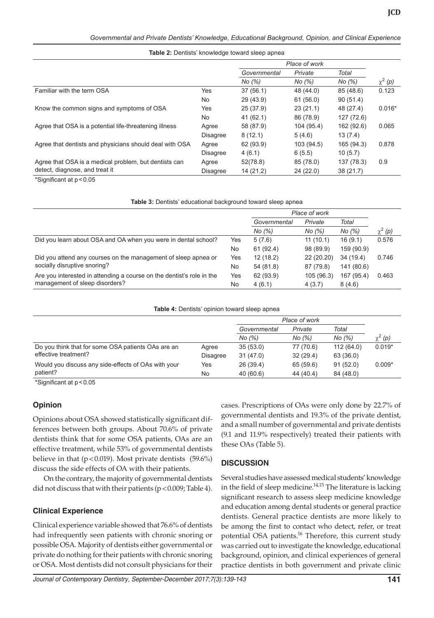**Table 2:** Dentists' knowledge toward sleep apnea

|                                                         |                 | Place of work |            |            |             |
|---------------------------------------------------------|-----------------|---------------|------------|------------|-------------|
|                                                         |                 | Governmental  | Private    | Total      |             |
|                                                         |                 | No (%)        | No (%)     | No (%)     | $\chi^2(p)$ |
| Familiar with the term OSA                              | Yes             | 37(56.1)      | 48 (44.0)  | 85 (48.6)  | 0.123       |
|                                                         | <b>No</b>       | 29 (43.9)     | 61(56.0)   | 90(51.4)   |             |
| Know the common signs and symptoms of OSA               | Yes             | 25(37.9)      | 23(21.1)   | 48 (27.4)  | $0.016*$    |
|                                                         | No              | 41(62.1)      | 86 (78.9)  | 127 (72.6) |             |
| Agree that OSA is a potential life-threatening illness  | Agree           | 58 (87.9)     | 104 (95.4) | 162 (92.6) | 0.065       |
|                                                         | <b>Disagree</b> | 8(12.1)       | 5(4.6)     | 13(7.4)    |             |
| Agree that dentists and physicians should deal with OSA | Agree           | 62 (93.9)     | 103 (94.5) | 165 (94.3) | 0.878       |
|                                                         | <b>Disagree</b> | 4(6.1)        | 6(5.5)     | 10(5.7)    |             |
| Agree that OSA is a medical problem, but dentists can   | Agree           | 52(78.8)      | 85 (78.0)  | 137 (78.3) | 0.9         |
| detect, diagnose, and treat it                          | <b>Disagree</b> | 14(21.2)      | 24(22.0)   | 38 (21.7)  |             |

\*Significant at p<0.05

|                                                                       |     | Place of work |            |            |              |
|-----------------------------------------------------------------------|-----|---------------|------------|------------|--------------|
|                                                                       |     | Governmental  | Private    | Total      |              |
|                                                                       |     | No (%)        | No (%)     | No (%)     | $\chi^2$ (p) |
| Did you learn about OSA and OA when you were in dental school?        | Yes | 5(7.6)        | 11(10.1)   | 16(9.1)    | 0.576        |
|                                                                       | No  | 61(92.4)      | 98 (89.9)  | 159 (90.9) |              |
| Did you attend any courses on the management of sleep apnea or        | Yes | 12(18.2)      | 22 (20.20) | 34 (19.4)  | 0.746        |
| socially disruptive snoring?                                          | No  | 54 (81.8)     | 87 (79.8)  | 141 (80.6) |              |
| Are you interested in attending a course on the dentist's role in the | Yes | 62 (93.9)     | 105 (96.3) | 167 (95.4) | 0.463        |
| management of sleep disorders?                                        | No  | 4(6.1)        | 4(3.7)     | 8(4.6)     |              |

**Table 4:** Dentists' opinion toward sleep apnea

|                                                     |                 | Place of work |           |            |              |
|-----------------------------------------------------|-----------------|---------------|-----------|------------|--------------|
|                                                     |                 | Governmental  | Private   | Total      |              |
|                                                     |                 | No (%)        | No (%)    | No (%)     | $\chi^2$ (p) |
| Do you think that for some OSA patients OAs are an  | Agree           | 35(53.0)      | 77 (70.6) | 112 (64.0) | $0.019*$     |
| effective treatment?                                | <b>Disagree</b> | 31(47.0)      | 32(29.4)  | 63 (36.0)  |              |
| Would you discuss any side-effects of OAs with your | Yes             | 26 (39.4)     | 65 (59.6) | 91(52.0)   | $0.009*$     |
| patient?                                            | No              | 40(60.6)      | 44 (40.4) | 84 (48.0)  |              |

\*Significant at p<0.05

#### **Opinion**

Opinions about OSA showed statistically significant differences between both groups. About 70.6% of private dentists think that for some OSA patients, OAs are an effective treatment, while 53% of governmental dentists believe in that ( $p < 0.019$ ). Most private dentists (59.6%) discuss the side effects of OA with their patients.

On the contrary, the majority of governmental dentists did not discuss that with their patients ( $p < 0.009$ ; Table 4).

#### **Clinical Experience**

Clinical experience variable showed that 76.6% of dentists had infrequently seen patients with chronic snoring or possible OSA. Majority of dentists either governmental or private do nothing for their patients with chronic snoring or OSA. Most dentists did not consult physicians for their

cases. Prescriptions of OAs were only done by 22.7% of governmental dentists and 19.3% of the private dentist, and a small number of governmental and private dentists (9.1 and 11.9% respectively) treated their patients with these OAs (Table 5).

# **DISCUSSION**

Several studies have assessed medical students' knowledge in the field of sleep medicine. $14,15$  The literature is lacking significant research to assess sleep medicine knowledge and education among dental students or general practice dentists. General practice dentists are more likely to be among the first to contact who detect, refer, or treat potential OSA patients.<sup>16</sup> Therefore, this current study was carried out to investigate the knowledge, educational background, opinion, and clinical experiences of general practice dentists in both government and private clinic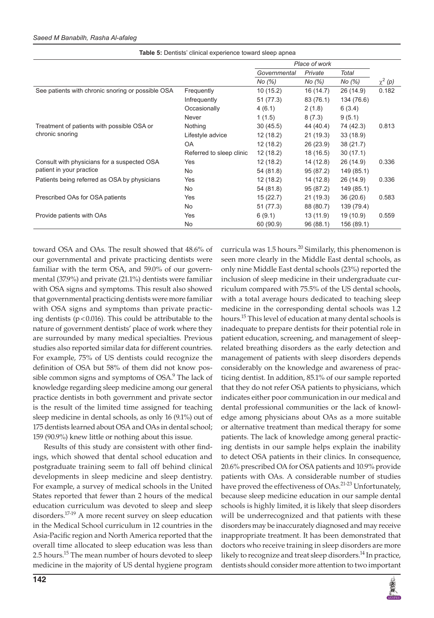|                                                                         |                          | Place of work |           |            |              |
|-------------------------------------------------------------------------|--------------------------|---------------|-----------|------------|--------------|
|                                                                         |                          | Governmental  | Private   | Total      |              |
|                                                                         |                          | No (%)        | No (%)    | No (%)     | $\chi^2$ (p) |
| See patients with chronic snoring or possible OSA                       | Frequently               | 10(15.2)      | 16 (14.7) | 26 (14.9)  | 0.182        |
|                                                                         | Infrequently             | 51 (77.3)     | 83 (76.1) | 134 (76.6) |              |
|                                                                         | Occasionally             | 4(6.1)        | 2(1.8)    | 6(3.4)     |              |
|                                                                         | <b>Never</b>             | 1(1.5)        | 8(7.3)    | 9(5.1)     |              |
| Treatment of patients with possible OSA or<br>chronic snoring           | Nothing                  | 30(45.5)      | 44 (40.4) | 74 (42.3)  | 0.813        |
|                                                                         | Lifestyle advice         | 12(18.2)      | 21(19.3)  | 33(18.9)   |              |
|                                                                         | OA.                      | 12(18.2)      | 26 (23.9) | 38(21.7)   |              |
|                                                                         | Referred to sleep clinic | 12(18.2)      | 18 (16.5) | 30(17.1)   |              |
| Consult with physicians for a suspected OSA<br>patient in your practice | Yes                      | 12(18.2)      | 14 (12.8) | 26 (14.9)  | 0.336        |
|                                                                         | No.                      | 54 (81.8)     | 95 (87.2) | 149 (85.1) |              |
| Patients being referred as OSA by physicians                            | Yes                      | 12(18.2)      | 14 (12.8) | 26 (14.9)  | 0.336        |
|                                                                         | <b>No</b>                | 54 (81.8)     | 95 (87.2) | 149 (85.1) |              |
| Prescribed OAs for OSA patients                                         | Yes                      | 15(22.7)      | 21 (19.3) | 36(20.6)   | 0.583        |
|                                                                         | <b>No</b>                | 51 (77.3)     | 88 (80.7) | 139 (79.4) |              |
| Provide patients with OAs                                               | Yes                      | 6(9.1)        | 13(11.9)  | 19 (10.9)  | 0.559        |
|                                                                         | No.                      | 60 (90.9)     | 96(88.1)  | 156 (89.1) |              |

**Table 5:** Dentists' clinical experience toward sleep apnea

toward OSA and OAs. The result showed that 48.6% of our governmental and private practicing dentists were familiar with the term OSA, and 59.0% of our governmental (37.9%) and private (21.1%) dentists were familiar with OSA signs and symptoms. This result also showed that governmental practicing dentists were more familiar with OSA signs and symptoms than private practicing dentists ( $p < 0.016$ ). This could be attributable to the nature of government dentists' place of work where they are surrounded by many medical specialties. Previous studies also reported similar data for different countries. For example, 75% of US dentists could recognize the definition of OSA but 58% of them did not know possible common signs and symptoms of OSA.<sup>9</sup> The lack of knowledge regarding sleep medicine among our general practice dentists in both government and private sector is the result of the limited time assigned for teaching sleep medicine in dental schools, as only 16 (9.1%) out of 175 dentists learned about OSA and OAs in dental school; 159 (90.9%) knew little or nothing about this issue.

Results of this study are consistent with other findings, which showed that dental school education and postgraduate training seem to fall off behind clinical developments in sleep medicine and sleep dentistry. For example, a survey of medical schools in the United States reported that fewer than 2 hours of the medical education curriculum was devoted to sleep and sleep disorders.<sup>17-19</sup> A more recent survey on sleep education in the Medical School curriculum in 12 countries in the Asia-Pacific region and North America reported that the overall time allocated to sleep education was less than 2.5 hours.<sup>15</sup> The mean number of hours devoted to sleep medicine in the majority of US dental hygiene program

only nine Middle East dental schools (23%) reported the inclusion of sleep medicine in their undergraduate curriculum compared with 75.5% of the US dental schools, with a total average hours dedicated to teaching sleep medicine in the corresponding dental schools was 1.2 hours.<sup>15</sup> This level of education at many dental schools is inadequate to prepare dentists for their potential role in patient education, screening, and management of sleeprelated breathing disorders as the early detection and management of patients with sleep disorders depends considerably on the knowledge and awareness of practicing dentist. In addition, 85.1% of our sample reported that they do not refer OSA patients to physicians, which indicates either poor communication in our medical and dental professional communities or the lack of knowledge among physicians about OAs as a more suitable or alternative treatment than medical therapy for some patients. The lack of knowledge among general practicing dentists in our sample helps explain the inability to detect OSA patients in their clinics. In consequence, 20.6% prescribed OA for OSA patients and 10.9% provide patients with OAs. A considerable number of studies have proved the effectiveness of OAs.<sup>21-23</sup> Unfortunately, because sleep medicine education in our sample dental schools is highly limited, it is likely that sleep disorders will be underrecognized and that patients with these disorders may be inaccurately diagnosed and may receive inappropriate treatment. It has been demonstrated that doctors who receive training in sleep disorders are more likely to recognize and treat sleep disorders.<sup>14</sup> In practice, dentists should consider more attention to two important

curricula was  $1.5$  hours.<sup>20</sup> Similarly, this phenomenon is seen more clearly in the Middle East dental schools, as